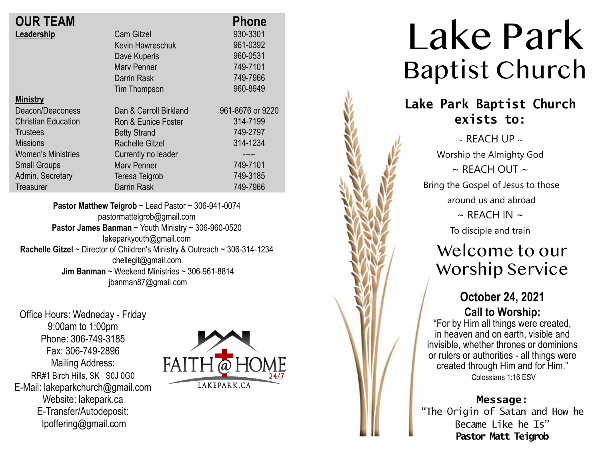| <b>OUR TEAM</b>            |                        | <b>Phone</b>     |
|----------------------------|------------------------|------------------|
| Leadership                 | <b>Cam Gitzel</b>      | 930-3301         |
|                            | Kevin Hawreschuk       | 961-0392         |
|                            | Dave Kuperis           | 960-0531         |
|                            | Mary Penner            | 749-7101         |
|                            | Darrin Rask            | 749-7966         |
|                            | Tim Thompson           | 960-8949         |
| <b>Ministry</b>            |                        |                  |
| Deacon/Deaconess           | Dan & Carroll Birkland | 961-8676 or 9220 |
| <b>Christian Education</b> | Ron & Eunice Foster    | 314-7199         |
| <b>Trustees</b>            | <b>Betty Strand</b>    | 749-2797         |
| <b>Missions</b>            | <b>Rachelle Gitzel</b> | 314-1234         |
| <b>Women's Ministries</b>  | Currently no leader    |                  |
| <b>Small Groups</b>        | <b>Mary Penner</b>     | 749-7101         |
| Admin. Secretary           | Teresa Teigrob         | 749-3185         |
| Treasurer                  | Darrin Rask            | 749-7966         |
|                            |                        |                  |

**Pastor Matthew Teigrob** ~ Lead Pastor ~ 306-941-0074 pastormatteigrob@gmail.com **Pastor James Banman** ~ Youth Ministry ~ 306-960-0520 lakeparkyouth@gmail.com **Rachelle Gitzel** ~ Director of Children's Ministry & Outreach ~ 306-314-1234 chellegit@gmail.com  **Jim Banman** ~ Weekend Ministries ~ 306-961-8814 jbanman87@gmail.com

Office Hours: Wedneday - Friday 9:00am to 1:00pm Phone: 306-749-3185 Fax: 306-749-2896 Mailing Address: RR#1 Birch Hills, SK S0J 0G0 E-Mail: lakeparkchurch@gmail.com Website: lakepark.ca E-Transfer/Autodeposit: lpoffering@gmail.com



# Lake Park Baptist Church

## **Lake Park Baptist Church exists to:**

 $\sim$  REACH UP  $\sim$ Worship the Almighty God  $\sim$  RFACH OUT  $\sim$ Bring the Gospel of Jesus to those around us and abroad  $\sim$  REACH IN  $\sim$ To disciple and train

## Welcome to our Worship Service

## **October 24, 2021 Call to Worship:**

"For by Him all things were created, in heaven and on earth, visible and invisible, whether thrones or dominions or rulers or authorities - all things were created through Him and for Him." Colossians 1:16 ESV

**Message:**

"The Origin of Satan and How he Became Like he Is" **Pastor Matt Teigrob**